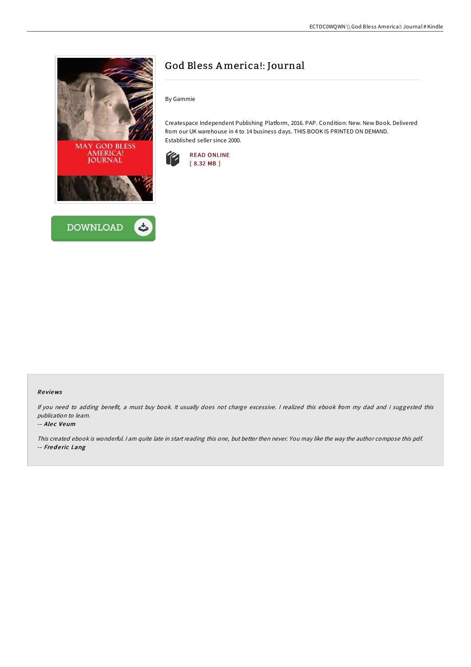



# God Bless America!: Journal

By Gammie

Createspace Independent Publishing Platform, 2016. PAP. Condition: New. New Book. Delivered from our UK warehouse in 4 to 14 business days. THIS BOOK IS PRINTED ON DEMAND. Established seller since 2000.



## Re views

If you need to adding benefit, <sup>a</sup> must buy book. It usually does not charge excessive. <sup>I</sup> realized this ebook from my dad and i suggested this publication to learn.

### -- Alec Veum

This created ebook is wonderful. <sup>I</sup> am quite late in start reading this one, but better then never. You may like the way the author compose this pdf. -- Frederic Lang